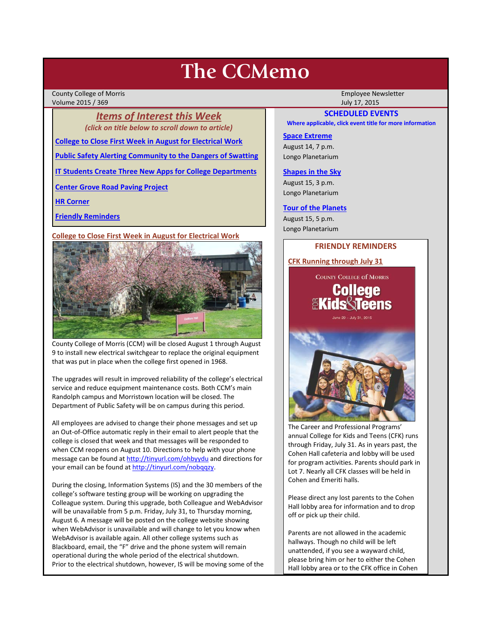# **The CCMemo**

County College of Morris Employee Newsletter Volume 2015 / 369 July 17, 2015

*Items of Interest this Week (click on title below to scroll down to article)*

**[College to Close First Week in August for Electrical Work](#page-0-0)**

**[Public Safety Alerting Community to the Dangers of Swatting](#page-1-0)**

**[IT Students Create Three New Apps for College Departments](#page-1-1)**

**[Center Grove Road Paving Project](#page-1-2)**

**[HR Corner](#page-1-3)**

**[Friendly Reminders](#page-0-1)**

#### <span id="page-0-0"></span>**College to Close First Week in August for Electrical Work**



County College of Morris (CCM) will be closed August 1 through August 9 to install new electrical switchgear to replace the original equipment that was put in place when the college first opened in 1968.

The upgrades will result in improved reliability of the college's electrical service and reduce equipment maintenance costs. Both CCM's main Randolph campus and Morristown location will be closed. The Department of Public Safety will be on campus during this period.

All employees are advised to change their phone messages and set up an Out-of-Office automatic reply in their email to alert people that the college is closed that week and that messages will be responded to when CCM reopens on August 10. Directions to help with your phone message can be found at<http://tinyurl.com/ohbyydu> and directions for your email can be found at [http://tinyurl.com/nobqqzy.](http://tinyurl.com/nobqqzy)

During the closing, Information Systems (IS) and the 30 members of the college's software testing group will be working on upgrading the Colleague system. During this upgrade, both Colleague and WebAdvisor will be unavailable from 5 p.m. Friday, July 31, to Thursday morning, August 6. A message will be posted on the college website showing when WebAdvisor is unavailable and will change to let you know when WebAdvisor is available again. All other college systems such as Blackboard, email, the "F" drive and the phone system will remain operational during the whole period of the electrical shutdown. Prior to the electrical shutdown, however, IS will be moving some of the

# **SCHEDULED EVENTS**

**Where applicable, click event title for more information**

### **[Space Extreme](http://www.ccm.edu/newsEvents/eventDetails.aspx?Channel=/Channels/Sitewide&WorkflowItemID=1874a4b0-0bcb-4ed1-a29e-7b4f8d25e45d)**

August 14, 7 p.m. Longo Planetarium

## **[Shapes in the Sky](http://www.ccm.edu/newsEvents/eventDetails.aspx?Channel=/Channels/Sitewide&WorkflowItemID=1922c928-86d3-4e75-b6a2-fd618033989c)**

August 15, 3 p.m. Longo Planetarium

#### **[Tour of the Planets](http://www.ccm.edu/newsEvents/eventDetails.aspx?Channel=/Channels/Sitewide&WorkflowItemID=5834aa20-68ba-4fa2-a3ac-75b2311ba441)**

August 15, 5 p.m. Longo Planetarium

## **FRIENDLY REMINDERS**

<span id="page-0-1"></span>**CFK Running through July 31**



The Career and Professional Programs' annual College for Kids and Teens (CFK) runs through Friday, July 31. As in years past, the Cohen Hall cafeteria and lobby will be used for program activities. Parents should park in Lot 7. Nearly all CFK classes will be held in Cohen and Emeriti halls.

Please direct any lost parents to the Cohen Hall lobby area for information and to drop off or pick up their child.

Parents are not allowed in the academic hallways. Though no child will be left unattended, if you see a wayward child, please bring him or her to either the Cohen Hall lobby area or to the CFK office in Cohen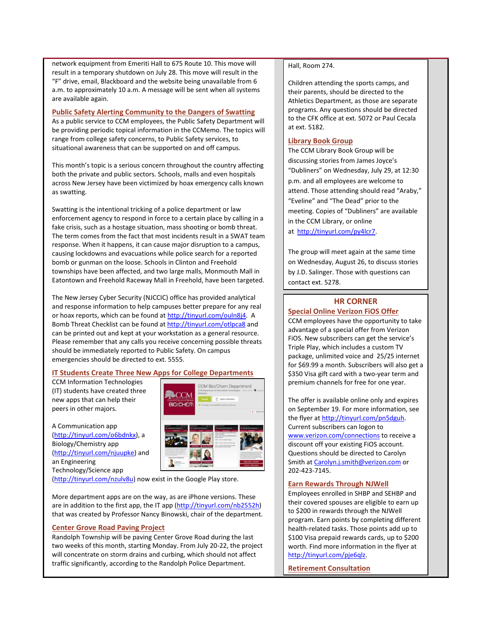network equipment from Emeriti Hall to 675 Route 10. This move will result in a temporary shutdown on July 28. This move will result in the "F" drive, email, Blackboard and the website being unavailable from 6 a.m. to approximately 10 a.m. A message will be sent when all systems are available again.

### <span id="page-1-0"></span>**Public Safety Alerting Community to the Dangers of Swatting**

As a public service to CCM employees, the Public Safety Department will be providing periodic topical information in the CCMemo. The topics will range from college safety concerns, to Public Safety services, to situational awareness that can be supported on and off campus.

This month's topic is a serious concern throughout the country affecting both the private and public sectors. Schools, malls and even hospitals across New Jersey have been victimized by hoax emergency calls known as swatting.

Swatting is the intentional tricking of a police department or law enforcement agency to respond in force to a certain place by calling in a fake crisis, such as a hostage situation, mass shooting or bomb threat. The term comes from the fact that most incidents result in a SWAT team response. When it happens, it can cause major disruption to a campus, causing lockdowns and evacuations while police search for a reported bomb or gunman on the loose. Schools in Clinton and Freehold townships have been affected, and two large malls, Monmouth Mall in Eatontown and Freehold Raceway Mall in Freehold, have been targeted.

The New Jersey Cyber Security (NJCCIC) office has provided analytical and response information to help campuses better prepare for any real or hoax reports, which can be found a[t http://tinyurl.com/ouln8j4.](http://tinyurl.com/ouln8j4) A Bomb Threat Checklist can be found a[t http://tinyurl.com/otlpca8](http://tinyurl.com/otlpca8) and can be printed out and kept at your workstation as a general resource. Please remember that any calls you receive concerning possible threats should be immediately reported to Public Safety. On campus emergencies should be directed to ext. 5555.

# <span id="page-1-1"></span>**IT Students Create Three New Apps for College Departments**

CCM Information Technologies (IT) students have created three new apps that can help their peers in other majors.

A Communication app [\(http://tinyurl.com/o6bdnkx\)](http://tinyurl.com/o6bdnkx), a Biology/Chemistry app [\(http://tinyurl.com/njuupke\)](http://tinyurl.com/njuupke) and an Engineering Technology/Science app



#### [\(http://tinyurl.com/nzulv8u\)](http://tinyurl.com/nzulv8u) now exist in the Google Play store.

More department apps are on the way, as are iPhone versions. These are in addition to the first app, the IT app [\(http://tinyurl.com/nb2552h\)](http://tinyurl.com/nb2552h) that was created by Professor Nancy Binowski, chair of the department.

## <span id="page-1-2"></span>**Center Grove Road Paving Project**

Randolph Township will be paving Center Grove Road during the last two weeks of this month, starting Monday. From July 20-22, the project will concentrate on storm drains and curbing, which should not affect traffic significantly, according to the Randolph Police Department.

## Hall, Room 274.

Children attending the sports camps, and their parents, should be directed to the Athletics Department, as those are separate programs. Any questions should be directed to the CFK office at ext. 5072 or Paul Cecala at ext. 5182.

## **Library Book Group**

The CCM Library Book Group will be discussing stories from James Joyce's "Dubliners" on Wednesday, July 29, at 12:30 p.m. and all employees are welcome to attend. Those attending should read "Araby," "Eveline" and "The Dead" prior to the meeting. Copies of "Dubliners" are available in the CCM Library, or online at [http://tinyurl.com/py4lcr7.](http://tinyurl.com/py4lcr7)

The group will meet again at the same time on Wednesday, August 26, to discuss stories by J.D. Salinger. Those with questions can contact ext. 5278.

# **HR CORNER**

# <span id="page-1-3"></span>**Special Online Verizon FiOS Offer**

CCM employees have the opportunity to take advantage of a special offer from Verizon FiOS. New subscribers can get the service's Triple Play, which includes a custom TV package, unlimited voice and 25/25 internet for \$69.99 a month. Subscribers will also get a \$350 Visa gift card with a two-year term and premium channels for free for one year.

The offer is available online only and expires on September 19. For more information, see the flyer at [http://tinyurl.com/pn5dguh.](http://tinyurl.com/pn5dguh)  Current subscribers can logon to [www.verizon.com/connections](http://www.verizon.com/connections) to receive a discount off your existing FiOS account. Questions should be directed to Carolyn Smith a[t Carolyn.j.smith@verizon.com](mailto:Carolyn.j.smith@verizon.com) or 202-423-7145.

## **Earn Rewards Through NJWell**

Employees enrolled in SHBP and SEHBP and their covered spouses are eligible to earn up to \$200 in rewards through the NJWell program. Earn points by completing different health-related tasks. Those points add up to \$100 Visa prepaid rewards cards, up to \$200 worth. Find more information in the flyer at [http://tinyurl.com/pje6qlz.](http://tinyurl.com/pje6qlz)

**Retirement Consultation**